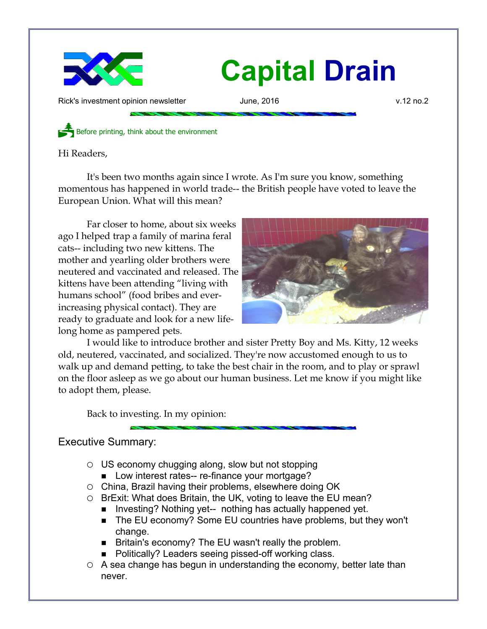

Rick's investment opinion newsletter and June, 2016 v.12 no.2

Before printing, think about the environment

Hi Readers,

It's been two months again since I wrote. As I'm sure you know, something momentous has happened in world trade-- the British people have voted to leave the European Union. What will this mean?

Far closer to home, about six weeks ago I helped trap a family of marina feral cats-- including two new kittens. The mother and yearling older brothers were neutered and vaccinated and released. The kittens have been attending "living with humans school" (food bribes and everincreasing physical contact). They are ready to graduate and look for a new lifelong home as pampered pets.



I would like to introduce brother and sister Pretty Boy and Ms. Kitty, 12 weeks old, neutered, vaccinated, and socialized. They're now accustomed enough to us to walk up and demand petting, to take the best chair in the room, and to play or sprawl on the floor asleep as we go about our human business. Let me know if you might like to adopt them, please.

Back to investing. In my opinion:

## Executive Summary:

- US economy chugging along, slow but not stopping
	- Low interest rates-- re-finance your mortgage?
- China, Brazil having their problems, elsewhere doing OK
- BrExit: What does Britain, the UK, voting to leave the EU mean?
	- Investing? Nothing yet-- nothing has actually happened yet.
	- The EU economy? Some EU countries have problems, but they won't change.
	- Britain's economy? The EU wasn't really the problem.
	- Politically? Leaders seeing pissed-off working class.
- A sea change has begun in understanding the economy, better late than never.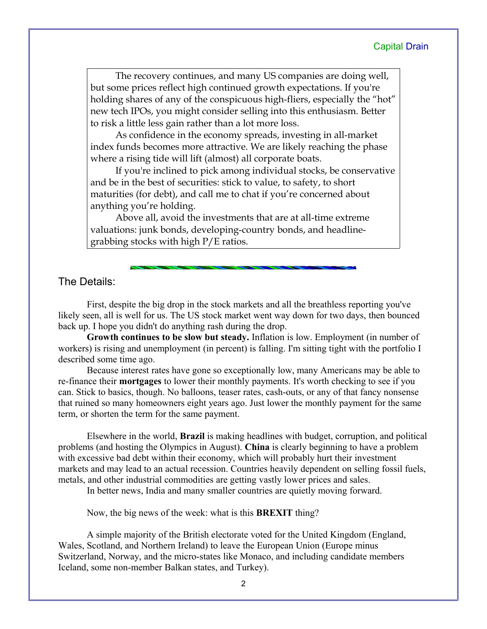The recovery continues, and many US companies are doing well, but some prices reflect high continued growth expectations. If you're holding shares of any of the conspicuous high-fliers, especially the "hot" new tech IPOs, you might consider selling into this enthusiasm. Better to risk a little less gain rather than a lot more loss.

As confidence in the economy spreads, investing in all-market index funds becomes more attractive. We are likely reaching the phase where a rising tide will lift (almost) all corporate boats.

If you're inclined to pick among individual stocks, be conservative and be in the best of securities: stick to value, to safety, to short maturities (for debt), and call me to chat if you're concerned about anything you're holding.

Above all, avoid the investments that are at all-time extreme valuations: junk bonds, developing-country bonds, and headlinegrabbing stocks with high P/E ratios.

### The Details:

First, despite the big drop in the stock markets and all the breathless reporting you've likely seen, all is well for us. The US stock market went way down for two days, then bounced back up. I hope you didn't do anything rash during the drop.

**Growth continues to be slow but steady.** Inflation is low. Employment (in number of workers) is rising and unemployment (in percent) is falling. I'm sitting tight with the portfolio I described some time ago.

Because interest rates have gone so exceptionally low, many Americans may be able to re-finance their **mortgages** to lower their monthly payments. It's worth checking to see if you can. Stick to basics, though. No balloons, teaser rates, cash-outs, or any of that fancy nonsense that ruined so many homeowners eight years ago. Just lower the monthly payment for the same term, or shorten the term for the same payment.

Elsewhere in the world, **Brazil** is making headlines with budget, corruption, and political problems (and hosting the Olympics in August). **China** is clearly beginning to have a problem with excessive bad debt within their economy, which will probably hurt their investment markets and may lead to an actual recession. Countries heavily dependent on selling fossil fuels, metals, and other industrial commodities are getting vastly lower prices and sales.

In better news, India and many smaller countries are quietly moving forward.

Now, the big news of the week: what is this **BREXIT** thing?

A simple majority of the British electorate voted for the United Kingdom (England, Wales, Scotland, and Northern Ireland) to leave the European Union (Europe minus Switzerland, Norway, and the micro-states like Monaco, and including candidate members Iceland, some non-member Balkan states, and Turkey).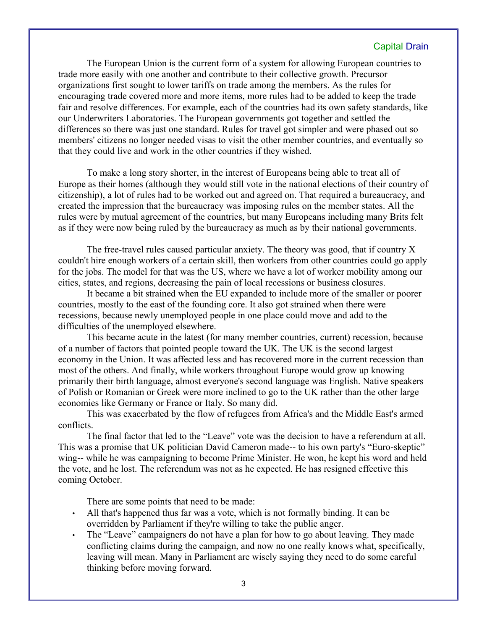The European Union is the current form of a system for allowing European countries to trade more easily with one another and contribute to their collective growth. Precursor organizations first sought to lower tariffs on trade among the members. As the rules for encouraging trade covered more and more items, more rules had to be added to keep the trade fair and resolve differences. For example, each of the countries had its own safety standards, like our Underwriters Laboratories. The European governments got together and settled the differences so there was just one standard. Rules for travel got simpler and were phased out so members' citizens no longer needed visas to visit the other member countries, and eventually so that they could live and work in the other countries if they wished.

To make a long story shorter, in the interest of Europeans being able to treat all of Europe as their homes (although they would still vote in the national elections of their country of citizenship), a lot of rules had to be worked out and agreed on. That required a bureaucracy, and created the impression that the bureaucracy was imposing rules on the member states. All the rules were by mutual agreement of the countries, but many Europeans including many Brits felt as if they were now being ruled by the bureaucracy as much as by their national governments.

The free-travel rules caused particular anxiety. The theory was good, that if country X couldn't hire enough workers of a certain skill, then workers from other countries could go apply for the jobs. The model for that was the US, where we have a lot of worker mobility among our cities, states, and regions, decreasing the pain of local recessions or business closures.

It became a bit strained when the EU expanded to include more of the smaller or poorer countries, mostly to the east of the founding core. It also got strained when there were recessions, because newly unemployed people in one place could move and add to the difficulties of the unemployed elsewhere.

This became acute in the latest (for many member countries, current) recession, because of a number of factors that pointed people toward the UK. The UK is the second largest economy in the Union. It was affected less and has recovered more in the current recession than most of the others. And finally, while workers throughout Europe would grow up knowing primarily their birth language, almost everyone's second language was English. Native speakers of Polish or Romanian or Greek were more inclined to go to the UK rather than the other large economies like Germany or France or Italy. So many did.

This was exacerbated by the flow of refugees from Africa's and the Middle East's armed conflicts.

The final factor that led to the "Leave" vote was the decision to have a referendum at all. This was a promise that UK politician David Cameron made-- to his own party's "Euro-skeptic" wing-- while he was campaigning to become Prime Minister. He won, he kept his word and held the vote, and he lost. The referendum was not as he expected. He has resigned effective this coming October.

There are some points that need to be made:

- All that's happened thus far was a vote, which is not formally binding. It can be overridden by Parliament if they're willing to take the public anger.
- The "Leave" campaigners do not have a plan for how to go about leaving. They made conflicting claims during the campaign, and now no one really knows what, specifically, leaving will mean. Many in Parliament are wisely saying they need to do some careful thinking before moving forward.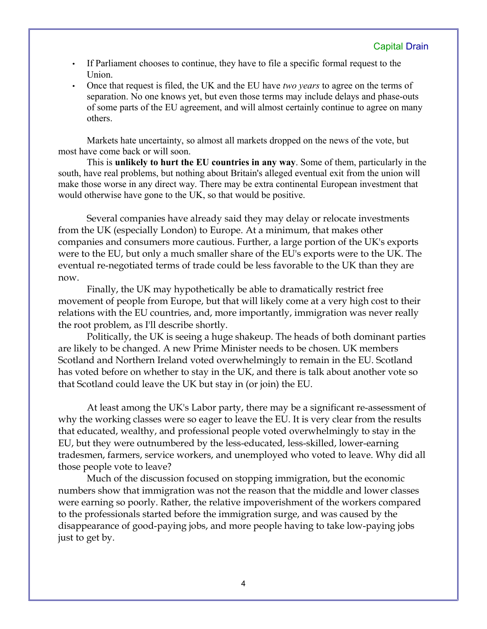- If Parliament chooses to continue, they have to file a specific formal request to the Union.
- Once that request is filed, the UK and the EU have *two years* to agree on the terms of separation. No one knows yet, but even those terms may include delays and phase-outs of some parts of the EU agreement, and will almost certainly continue to agree on many others.

Markets hate uncertainty, so almost all markets dropped on the news of the vote, but most have come back or will soon.

This is **unlikely to hurt the EU countries in any way**. Some of them, particularly in the south, have real problems, but nothing about Britain's alleged eventual exit from the union will make those worse in any direct way. There may be extra continental European investment that would otherwise have gone to the UK, so that would be positive.

Several companies have already said they may delay or relocate investments from the UK (especially London) to Europe. At a minimum, that makes other companies and consumers more cautious. Further, a large portion of the UK's exports were to the EU, but only a much smaller share of the EU's exports were to the UK. The eventual re-negotiated terms of trade could be less favorable to the UK than they are now.

Finally, the UK may hypothetically be able to dramatically restrict free movement of people from Europe, but that will likely come at a very high cost to their relations with the EU countries, and, more importantly, immigration was never really the root problem, as I'll describe shortly.

Politically, the UK is seeing a huge shakeup. The heads of both dominant parties are likely to be changed. A new Prime Minister needs to be chosen. UK members Scotland and Northern Ireland voted overwhelmingly to remain in the EU. Scotland has voted before on whether to stay in the UK, and there is talk about another vote so that Scotland could leave the UK but stay in (or join) the EU.

At least among the UK's Labor party, there may be a significant re-assessment of why the working classes were so eager to leave the EU. It is very clear from the results that educated, wealthy, and professional people voted overwhelmingly to stay in the EU, but they were outnumbered by the less-educated, less-skilled, lower-earning tradesmen, farmers, service workers, and unemployed who voted to leave. Why did all those people vote to leave?

Much of the discussion focused on stopping immigration, but the economic numbers show that immigration was not the reason that the middle and lower classes were earning so poorly. Rather, the relative impoverishment of the workers compared to the professionals started before the immigration surge, and was caused by the disappearance of good-paying jobs, and more people having to take low-paying jobs just to get by.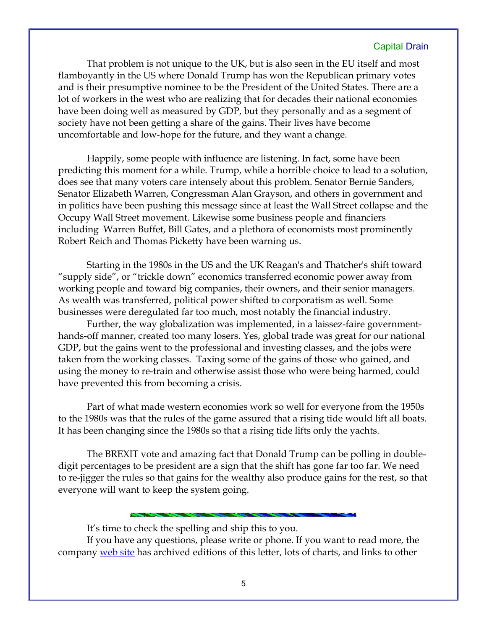That problem is not unique to the UK, but is also seen in the EU itself and most flamboyantly in the US where Donald Trump has won the Republican primary votes and is their presumptive nominee to be the President of the United States. There are a lot of workers in the west who are realizing that for decades their national economies have been doing well as measured by GDP, but they personally and as a segment of society have not been getting a share of the gains. Their lives have become uncomfortable and low-hope for the future, and they want a change.

Happily, some people with influence are listening. In fact, some have been predicting this moment for a while. Trump, while a horrible choice to lead to a solution, does see that many voters care intensely about this problem. Senator Bernie Sanders, Senator Elizabeth Warren, Congressman Alan Grayson, and others in government and in politics have been pushing this message since at least the Wall Street collapse and the Occupy Wall Street movement. Likewise some business people and financiers including Warren Buffet, Bill Gates, and a plethora of economists most prominently Robert Reich and Thomas Picketty have been warning us.

Starting in the 1980s in the US and the UK Reagan's and Thatcher's shift toward "supply side", or "trickle down" economics transferred economic power away from working people and toward big companies, their owners, and their senior managers. As wealth was transferred, political power shifted to corporatism as well. Some businesses were deregulated far too much, most notably the financial industry.

Further, the way globalization was implemented, in a laissez-faire governmenthands-off manner, created too many losers. Yes, global trade was great for our national GDP, but the gains went to the professional and investing classes, and the jobs were taken from the working classes. Taxing some of the gains of those who gained, and using the money to re-train and otherwise assist those who were being harmed, could have prevented this from becoming a crisis.

Part of what made western economies work so well for everyone from the 1950s to the 1980s was that the rules of the game assured that a rising tide would lift all boats. It has been changing since the 1980s so that a rising tide lifts only the yachts.

The BREXIT vote and amazing fact that Donald Trump can be polling in doubledigit percentages to be president are a sign that the shift has gone far too far. We need to re-jigger the rules so that gains for the wealthy also produce gains for the rest, so that everyone will want to keep the system going.

It's time to check the spelling and ship this to you.

If you have any questions, please write or phone. If you want to read more, the company [web site](http://www.LongspliceInvest.com/newsletter.shtml) has archived editions of this letter, lots of charts, and links to other